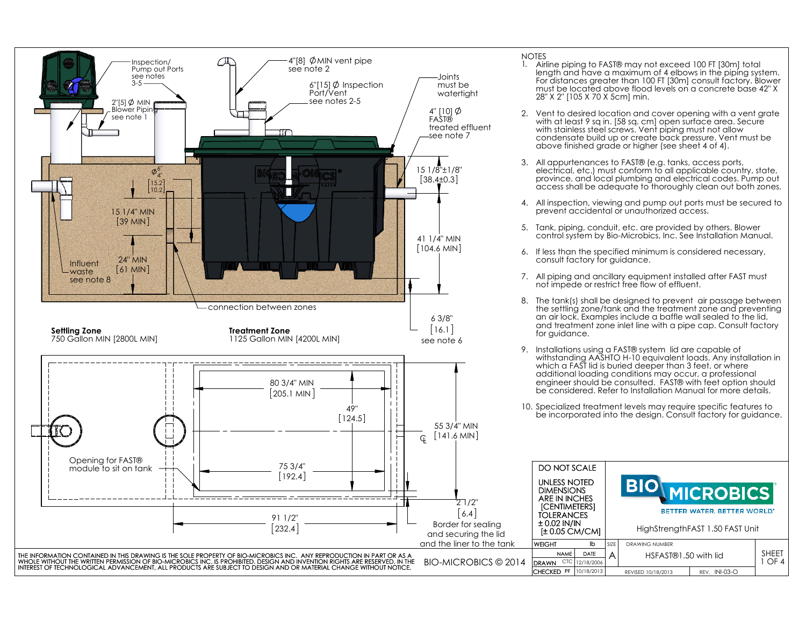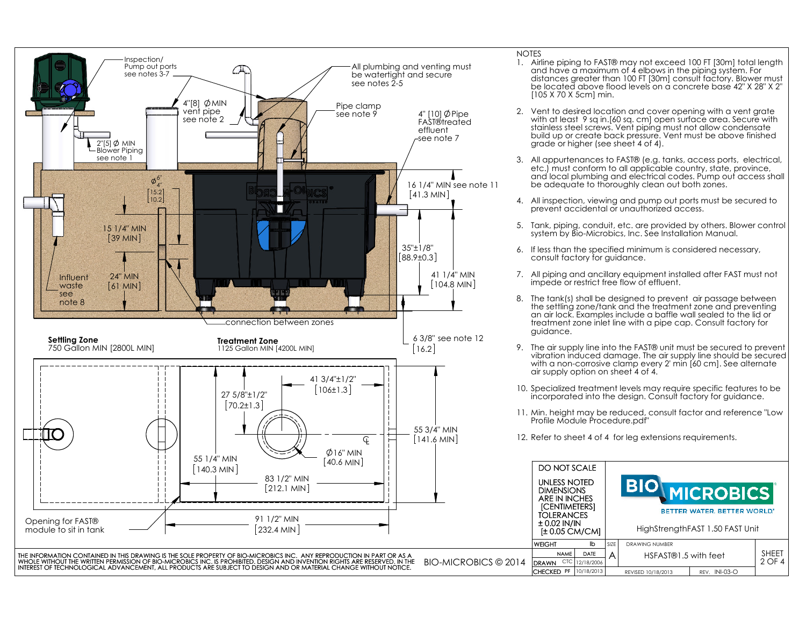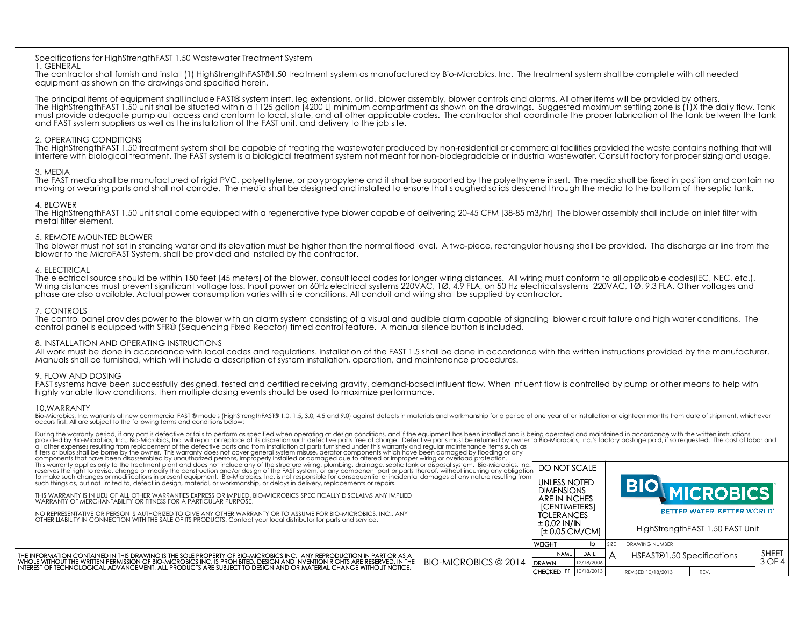#### 1. GENERAL

# 2. OPERATING CONDITIONS

# 3. MEDIA

# 4. BLOWER

## 5. REMOTE MOUNTED BLOWER

# 6. ELECTRICAL

# 7. CONTROLS

## 8. INSTALLATION AND OPERATING INSTRUCTIONS

## 9. FLOW AND DOSING

## 10.WARRANTY

| INTEREST OF TECHNOLOGICAL ADVANCEMENT, ALL PRODUCTS ARE SUBJECT TO DESIGN AND OR MATERIAL CHANGE WITHOUT NOTICE.                                                                                                                                                                                                                                                                                                                                                                                                                                |  | CHFCKFD PF 10/18/2013                                                    |           | REVISED 10/18/2013<br>REV.                          |                        |
|-------------------------------------------------------------------------------------------------------------------------------------------------------------------------------------------------------------------------------------------------------------------------------------------------------------------------------------------------------------------------------------------------------------------------------------------------------------------------------------------------------------------------------------------------|--|--------------------------------------------------------------------------|-----------|-----------------------------------------------------|------------------------|
| HE INFORMATION CONTAINED IN THIS DRAWING IS THE SOLE PROPERTY OF BIO-MICROBICS INC. ANY REPRODUCTION IN PART OR AS A<br>WHOLE WITHOUT THE WRITTEN PERMISSION OF BIO-MICROBICS INC. IS PROHIBITED. DESIGN AND INVENTION RIGHTS ARE RESERVED. IN THE<br>BIO-MICROBICS © 2014                                                                                                                                                                                                                                                                      |  | <b>WEIGHT</b><br>Ib<br><b>NAME</b><br>DATE<br><b>DRAWN</b><br>12/18/2006 | SIZE<br>A | <b>DRAWING NUMBER</b><br>HSFAST®1.50 Specifications | <b>SHEET</b><br>3 OF 4 |
|                                                                                                                                                                                                                                                                                                                                                                                                                                                                                                                                                 |  | $± 0.02$ IN/IN<br>$\pm$ 0.05 CM/CM]                                      |           | HighStrengthFAST 1.50 FAST Unit                     |                        |
| NO REPRESENTATIVE OR PERSON IS AUTHORIZED TO GIVE ANY OTHER WARRANTY OR TO ASSUME FOR BIO-MICROBICS, INC., ANY<br>OTHER LIABILITY IN CONNECTION WITH THE SALE OF ITS PRODUCTS. Contact your local distributor for parts and service.                                                                                                                                                                                                                                                                                                            |  | <b>ICENTIMETERSI</b><br><b>TOLERANCES</b>                                |           | BETTER WATER, BETTER WORLD.                         |                        |
| THIS WARRANTY IS IN LIEU OF ALL OTHER WARRANTIES EXPRESS OR IMPLIED. BIO-MICROBICS SPECIFICALLY DISCLAIMS ANY IMPLIED<br>WARRANTY OF MERCHANTABILITY OR FITNESS FOR A PARTICULAR PURPOSE.                                                                                                                                                                                                                                                                                                                                                       |  | <b>DIMENSIONS</b><br>ARE IN INCHES                                       |           |                                                     |                        |
| This warranty applies only to the treatment plant and does not include any of the structure wiring, plumbing, drainage, septic tank or disposal system. Bio-Microbics, Inc.<br>reserves the right to revise, change or modify the<br>to make such changes or modifications in present equipment. Bio-Microbics, Inc. is not responsible for consequential or incidental damages of any nature resulting from<br>such things as, but not limited to, defect in design, material, or workmanship, or delays in delivery, replacements or repairs. |  | DO NOT SCALE<br><b>UNLESS NOTED</b>                                      |           |                                                     |                        |
| During the warranty period, if any part is defective or fails to perform as specified when operating at design conditions, and if the equipment has been installed and is being operated and maintained in accordance with the<br>filters or bulbs shall be borne by the owner. This warranty does not cover general system misuse, aerator components which have been damaged by flooding or any components that have been disassembled by unauthorized persons                                                                                |  |                                                                          |           |                                                     |                        |
| 10.WARRANTY<br>Bio-Microbics, Inc. warrants all new commercial FAST ® models (HighStrengthFAST® 1.0, 1.5, 3.0, 4.5 and 9.0) against defects in materials and workmanship for a period of one year after installation or eighteen months from<br>occurs first. All are subject to the following terms and conditions below:                                                                                                                                                                                                                      |  |                                                                          |           |                                                     |                        |
| 9. FLOW AND DOSING<br>FAST systems have been successfully designed, tested and certified receiving gravity, demand-based influent flow. When influent flow is controlled by pump or other means to help with<br>highly variable flow conditions, then multiple dosing events should be used to maximize performance.                                                                                                                                                                                                                            |  |                                                                          |           |                                                     |                        |
| 8. INSTALLATION AND OPERATING INSTRUCTIONS<br>All work must be done in accordance with local codes and regulations. Installation of the FAST 1.5 shall be done in accordance with the written instructions provided by the manufacturer.<br>Manuals shall be furnished, which will include a description of system installation, operation, and maintenance procedures.                                                                                                                                                                         |  |                                                                          |           |                                                     |                        |
| 7. CONTROLS<br>The control panel provides power to the blower with an alarm system consisting of a visual and audible alarm capable of signaling blower circuit failure and high water conditions. The<br>control panel is equipped with SFR® (Sequencing Fixed Reactor) timed control feature. A manual silence button is included.                                                                                                                                                                                                            |  |                                                                          |           |                                                     |                        |
| 6. ELECTRICAL<br>The electrical source should be within 150 feet [45 meters] of the blower, consult local codes for longer wiring distances. All wiring must conform to all applicable codes(IEC, NEC, etc.).<br>Wiring distances must prevent sig<br>phase are also available. Actual power consumption varies with site conditions. All conduit and wiring shall be supplied by contractor.                                                                                                                                                   |  |                                                                          |           |                                                     |                        |
| 5. REMOTE MOUNTED BLOWER<br>The blower must not set in standing water and its elevation must be higher than the normal flood level. A two-piece, rectangular housing shall be provided. The discharge air line from the<br>blower to the MicroFAST System, shall be provided and installed by the contractor.                                                                                                                                                                                                                                   |  |                                                                          |           |                                                     |                        |
| 4. BLOWER<br>The HighStrengthFAST 1.50 unit shall come equipped with a regenerative type blower capable of delivering 20-45 CFM [38-85 m3/hr] The blower assembly shall include an inlet filter with<br>metal filter element.                                                                                                                                                                                                                                                                                                                   |  |                                                                          |           |                                                     |                        |
| 3. MEDIA<br>The FAST media shall be manufactured of rigid PVC, polyethylene, or polypropylene and it shall be supported by the polyethylene insert. The media shall be fixed in position and contain no<br>moving or wearing parts and shall not corrode. The media shall be designed and installed to ensure that sloughed solids descend through the media to the bottom of the septic tank.                                                                                                                                                  |  |                                                                          |           |                                                     |                        |
| 2. OPERATING CONDITIONS<br>The HighStrengthFAST 1.50 treatment system shall be capable of treating the wastewater produced by non-residential or commercial facilities provided the waste contains nothing that will<br>interfere with biological treatment. The FAST system is a biological treatment system not meant for non-biodegradable or industrial wastewater. Consult factory for proper sizing and usage.                                                                                                                            |  |                                                                          |           |                                                     |                        |
| The principal items of equipment shall include FAST® system insert, leg extensions, or lid, blower assembly, blower controls and alarms. All other items will be provided by others.<br>The HighstrengthFAST 1.50 unit shall be situated within a 1125 gallon [42001] minimum compartment as shown on the drawings. Suggested maximum settling zone is (1)X the daily flow. Tank<br>must provide adequate pump out access<br>and FAST system suppliers as well as the installation of the FAST unit, and delivery to the job site.              |  |                                                                          |           |                                                     |                        |
| Specifications for HighStrengthFAST 1.50 Wastewater Treatment System<br>1. GENERAL<br>The contractor shall furnish and install (1) HighStrengthFAST®1.50 treatment system as manufactured by Bio-Microbics, Inc. The treatment system shall be complete with all needed<br>equipment as shown on the drawings and specified herein.                                                                                                                                                                                                             |  |                                                                          |           |                                                     |                        |